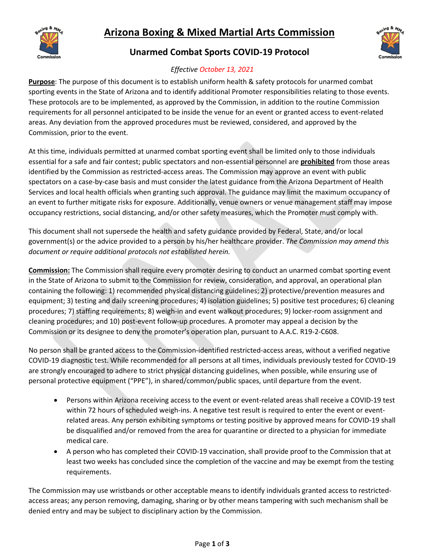



## **Unarmed Combat Sports COVID-19 Protocol**



## *Effective October 13, 2021*

**Purpose**: The purpose of this document is to establish uniform health & safety protocols for unarmed combat sporting events in the State of Arizona and to identify additional Promoter responsibilities relating to those events. These protocols are to be implemented, as approved by the Commission, in addition to the routine Commission requirements for all personnel anticipated to be inside the venue for an event or granted access to event-related areas. Any deviation from the approved procedures must be reviewed, considered, and approved by the Commission, prior to the event.

At this time, individuals permitted at unarmed combat sporting event shall be limited only to those individuals essential for a safe and fair contest; public spectators and non-essential personnel are **prohibited** from those areas identified by the Commission as restricted-access areas. The Commission may approve an event with public spectators on a case-by-case basis and must consider the latest guidance from the Arizona Department of Health Services and local health officials when granting such approval. The guidance may limit the maximum occupancy of an event to further mitigate risks for exposure. Additionally, venue owners or venue management staff may impose occupancy restrictions, social distancing, and/or other safety measures, which the Promoter must comply with.

This document shall not supersede the health and safety guidance provided by Federal, State, and/or local government(s) or the advice provided to a person by his/her healthcare provider. *The Commission may amend this document or require additional protocols not established herein.*

**Commission:** The Commission shall require every promoter desiring to conduct an unarmed combat sporting event in the State of Arizona to submit to the Commission for review, consideration, and approval, an operational plan containing the following: 1) recommended physical distancing guidelines; 2) protective/prevention measures and equipment; 3) testing and daily screening procedures; 4) isolation guidelines; 5) positive test procedures; 6) cleaning procedures; 7) staffing requirements; 8) weigh-in and event walkout procedures; 9) locker-room assignment and cleaning procedures; and 10) post-event follow-up procedures. A promoter may appeal a decision by the Commission or its designee to deny the promoter's operation plan, pursuant to A.A.C. R19-2-C608.

No person shall be granted access to the Commission-identified restricted-access areas, without a verified negative COVID-19 diagnostic test. While recommended for all persons at all times, individuals previously tested for COVID-19 are strongly encouraged to adhere to strict physical distancing guidelines, when possible, while ensuring use of personal protective equipment ("PPE"), in shared/common/public spaces, until departure from the event.

- Persons within Arizona receiving access to the event or event-related areas shall receive a COVID-19 test within 72 hours of scheduled weigh-ins. A negative test result is required to enter the event or eventrelated areas. Any person exhibiting symptoms or testing positive by approved means for COVID-19 shall be disqualified and/or removed from the area for quarantine or directed to a physician for immediate medical care.
- A person who has completed their COVID-19 vaccination, shall provide proof to the Commission that at least two weeks has concluded since the completion of the vaccine and may be exempt from the testing requirements.

The Commission may use wristbands or other acceptable means to identify individuals granted access to restrictedaccess areas; any person removing, damaging, sharing or by other means tampering with such mechanism shall be denied entry and may be subject to disciplinary action by the Commission.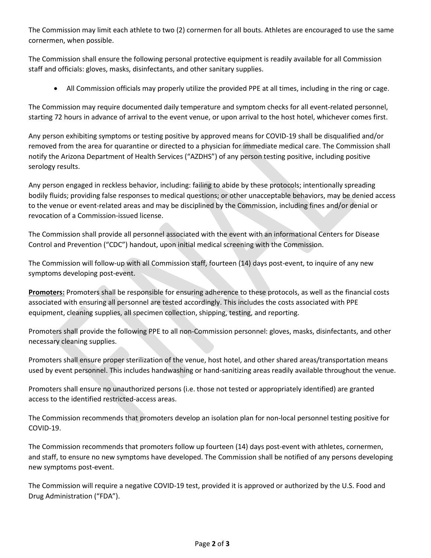The Commission may limit each athlete to two (2) cornermen for all bouts. Athletes are encouraged to use the same cornermen, when possible.

The Commission shall ensure the following personal protective equipment is readily available for all Commission staff and officials: gloves, masks, disinfectants, and other sanitary supplies.

• All Commission officials may properly utilize the provided PPE at all times, including in the ring or cage.

The Commission may require documented daily temperature and symptom checks for all event-related personnel, starting 72 hours in advance of arrival to the event venue, or upon arrival to the host hotel, whichever comes first.

Any person exhibiting symptoms or testing positive by approved means for COVID-19 shall be disqualified and/or removed from the area for quarantine or directed to a physician for immediate medical care. The Commission shall notify the Arizona Department of Health Services ("AZDHS") of any person testing positive, including positive serology results.

Any person engaged in reckless behavior, including: failing to abide by these protocols; intentionally spreading bodily fluids; providing false responses to medical questions; or other unacceptable behaviors, may be denied access to the venue or event-related areas and may be disciplined by the Commission, including fines and/or denial or revocation of a Commission-issued license.

The Commission shall provide all personnel associated with the event with an informational Centers for Disease Control and Prevention ("CDC") handout, upon initial medical screening with the Commission.

The Commission will follow-up with all Commission staff, fourteen (14) days post-event, to inquire of any new symptoms developing post-event.

**Promoters:** Promoters shall be responsible for ensuring adherence to these protocols, as well as the financial costs associated with ensuring all personnel are tested accordingly. This includes the costs associated with PPE equipment, cleaning supplies, all specimen collection, shipping, testing, and reporting.

Promoters shall provide the following PPE to all non-Commission personnel: gloves, masks, disinfectants, and other necessary cleaning supplies.

Promoters shall ensure proper sterilization of the venue, host hotel, and other shared areas/transportation means used by event personnel. This includes handwashing or hand-sanitizing areas readily available throughout the venue.

Promoters shall ensure no unauthorized persons (i.e. those not tested or appropriately identified) are granted access to the identified restricted-access areas.

The Commission recommends that promoters develop an isolation plan for non-local personnel testing positive for COVID-19.

The Commission recommends that promoters follow up fourteen (14) days post-event with athletes, cornermen, and staff, to ensure no new symptoms have developed. The Commission shall be notified of any persons developing new symptoms post-event.

The Commission will require a negative COVID-19 test, provided it is approved or authorized by the U.S. Food and Drug Administration ("FDA").